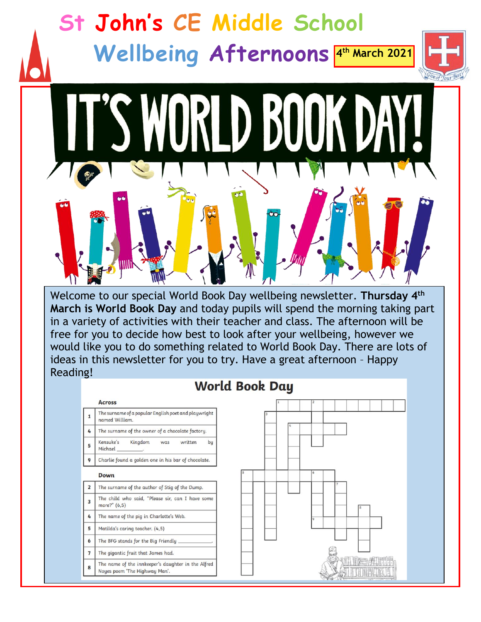

Welcome to our special World Book Day wellbeing newsletter. **Thursday 4th March is World Book Day** and today pupils will spend the morning taking part in a variety of activities with their teacher and class. The afternoon will be free for you to decide how best to look after your wellbeing, however we would like you to do something related to World Book Day. There are lots of ideas in this newsletter for you to try. Have a great afternoon – Happy Reading!

## **World Book Day**

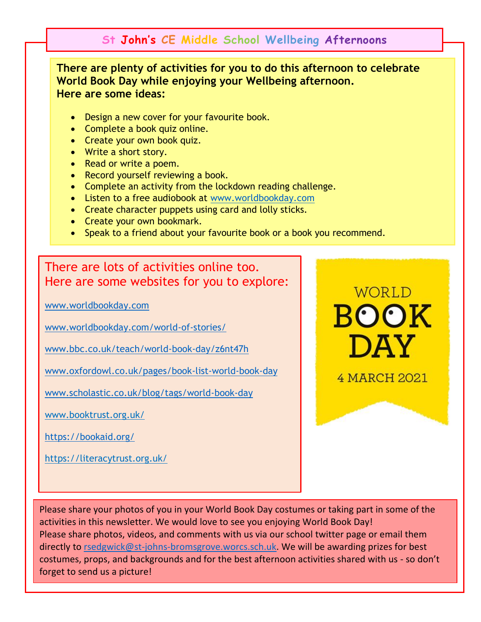## **St John's CE Middle School Wellbeing Afternoons**

**There are plenty of activities for you to do this afternoon to celebrate World Book Day while enjoying your Wellbeing afternoon. Here are some ideas:**

- Design a new cover for your favourite book.
- Complete a book quiz online.
- Create your own book quiz.
- Write a short story.
- Read or write a poem.
- Record yourself reviewing a book.
- Complete an activity from the lockdown reading challenge.
- Listen to a free audiobook at [www.worldbookday.com](http://www.worldbookday.com/)
- Create character puppets using card and lolly sticks.
- Create your own bookmark.
- Speak to a friend about your favourite book or a book you recommend.

## There are lots of activities online too. Here are some websites for you to explore:

[www.worldbookday.com](http://www.worldbookday.com/)

[www.worldbookday.com/world-of-stories/](http://www.worldbookday.com/world-of-stories/)

[www.bbc.co.uk/teach/world-book-day/z6nt47h](http://www.bbc.co.uk/teach/world-book-day/z6nt47h)

[www.oxfordowl.co.uk/pages/book-list-world-book-day](http://www.oxfordowl.co.uk/pages/book-list-world-book-day)

[www.scholastic.co.uk/blog/tags/world-book-day](http://www.scholastic.co.uk/blog/tags/world-book-day)

[www.booktrust.org.uk/](https://www.booktrust.org.uk/)

<https://bookaid.org/>

<https://literacytrust.org.uk/>



4 MARCH 2021

Please share your photos of you in your World Book Day costumes or taking part in some of the activities in this newsletter. We would love to see you enjoying World Book Day! Please share photos, videos, and comments with us via our school twitter page or email them directly to [rsedgwick@st-johns-bromsgrove.worcs.sch.uk.](mailto:rsedgwick@st-johns-bromsgrove.worcs.sch.uk) We will be awarding prizes for best costumes, props, and backgrounds and for the best afternoon activities shared with us - so don't forget to send us a picture!